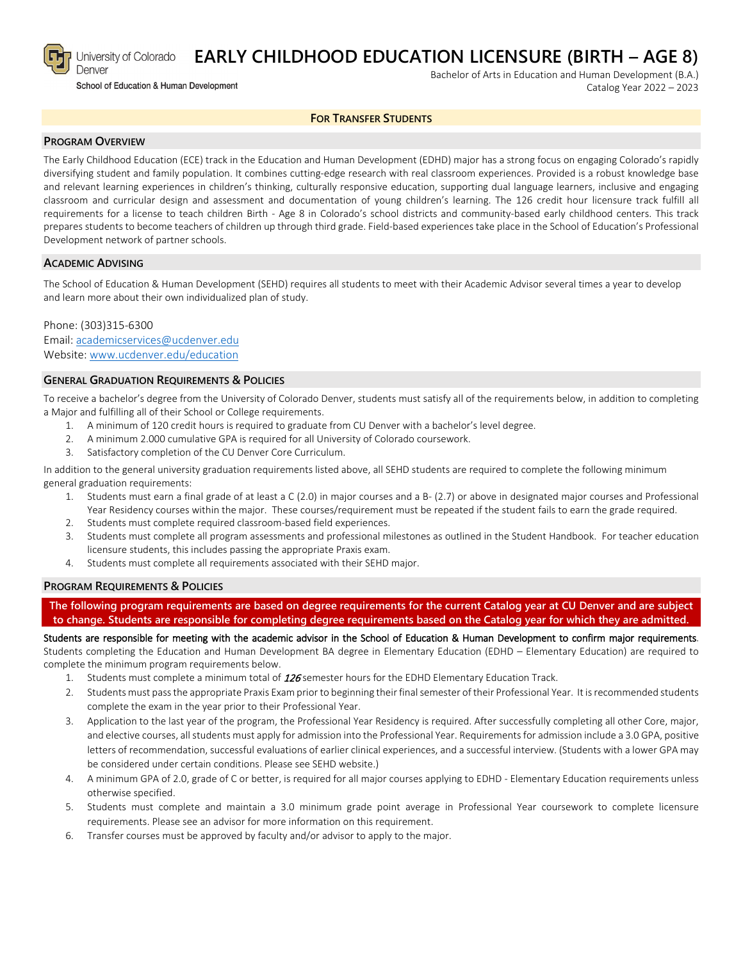

# **EARLY CHILDHOOD EDUCATION LICENSURE (BIRTH – AGE 8)**

School of Education & Human Development

Bachelor of Arts in Education and Human Development (B.A.) Catalog Year 2022 – 2023

#### **FOR TRANSFER STUDENTS**

## **PROGRAM OVERVIEW**

The Early Childhood Education (ECE) track in the Education and Human Development (EDHD) major has a strong focus on engaging Colorado's rapidly diversifying student and family population. It combines cutting-edge research with real classroom experiences. Provided is a robust knowledge base and relevant learning experiences in children's thinking, culturally responsive education, supporting dual language learners, inclusive and engaging classroom and curricular design and assessment and documentation of young children's learning. The 126 credit hour licensure track fulfill all requirements for a license to teach children Birth - Age 8 in Colorado's school districts and community-based early childhood centers. This track prepares students to become teachers of children up through third grade. Field-based experiences take place in the School of Education's Professional Development network of partner schools.

#### **ACADEMIC ADVISING**

The School of Education & Human Development (SEHD) requires all students to meet with their Academic Advisor several times a year to develop and learn more about their own individualized plan of study.

Phone: (303)315-6300 Email: [academicservices@ucdenver.edu](mailto:academicservices@ucdenver.edu) Website: [www.ucdenver.edu/education](http://www.ucdenver.edu/education)

#### **GENERAL GRADUATION REQUIREMENTS & POLICIES**

To receive a bachelor's degree from the University of Colorado Denver, students must satisfy all of the requirements below, in addition to completing a Major and fulfilling all of their School or College requirements.

- 1. A minimum of 120 credit hours is required to graduate from CU Denver with a bachelor's level degree.
- 2. A minimum 2.000 cumulative GPA is required for all University of Colorado coursework.
- 3. Satisfactory completion of the CU Denver Core Curriculum.

In addition to the general university graduation requirements listed above, all SEHD students are required to complete the following minimum general graduation requirements:

- 1. Students must earn a final grade of at least a C (2.0) in major courses and a B- (2.7) or above in designated major courses and Professional Year Residency courses within the major. These courses/requirement must be repeated if the student fails to earn the grade required.
- 2. Students must complete required classroom-based field experiences.
- 3. Students must complete all program assessments and professional milestones as outlined in the Student Handbook. For teacher education licensure students, this includes passing the appropriate Praxis exam.
- 4. Students must complete all requirements associated with their SEHD major.

#### **PROGRAM REQUIREMENTS & POLICIES**

**The following program requirements are based on degree requirements for the current Catalog year at CU Denver and are subject to change. Students are responsible for completing degree requirements based on the Catalog year for which they are admitted.**

Students are responsible for meeting with the academic advisor in the School of Education & Human Development to confirm major requirements. Students completing the Education and Human Development BA degree in Elementary Education (EDHD – Elementary Education) are required to complete the minimum program requirements below.

- 1. Students must complete a minimum total of 126 semester hours for the EDHD Elementary Education Track.
- 2. Students must pass the appropriate Praxis Exam prior to beginning their final semester of their Professional Year. It is recommended students complete the exam in the year prior to their Professional Year.
- 3. Application to the last year of the program, the Professional Year Residency is required. After successfully completing all other Core, major, and elective courses, all students must apply for admission into the Professional Year. Requirements for admission include a 3.0 GPA, positive letters of recommendation, successful evaluations of earlier clinical experiences, and a successful interview. (Students with a lower GPA may be considered under certain conditions. Please see SEHD website.)
- 4. A minimum GPA of 2.0, grade of C or better, is required for all major courses applying to EDHD Elementary Education requirements unless otherwise specified.
- 5. Students must complete and maintain a 3.0 minimum grade point average in Professional Year coursework to complete licensure requirements. Please see an advisor for more information on this requirement.
- 6. Transfer courses must be approved by faculty and/or advisor to apply to the major.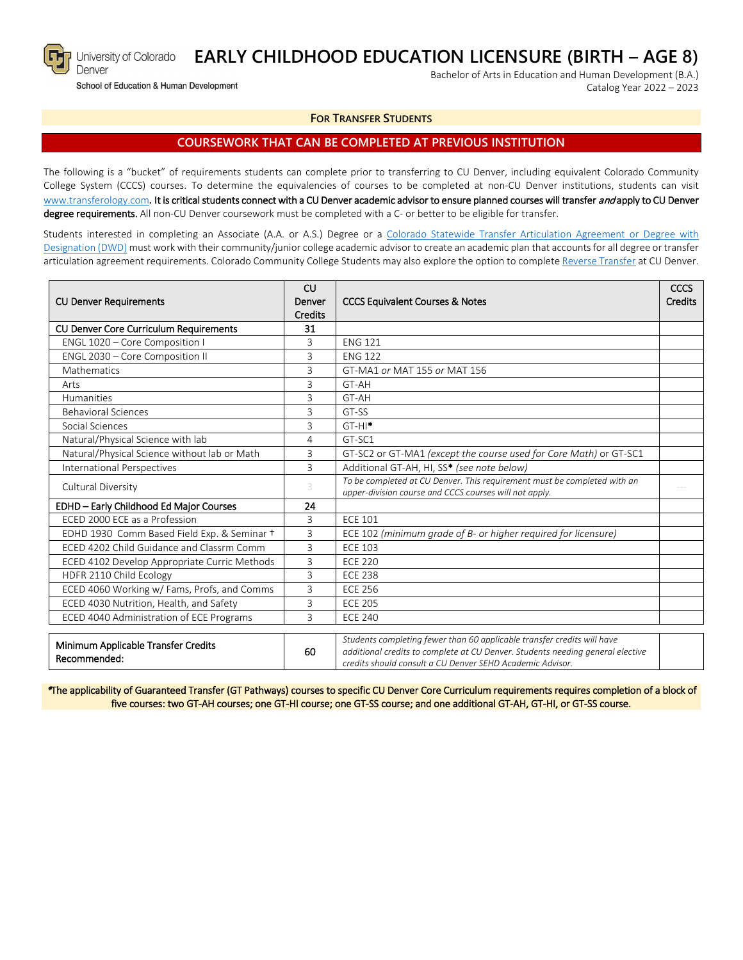

Denver

#### **EARLY CHILDHOOD EDUCATION LICENSURE (BIRTH – AGE 8)** University of Colorado

School of Education & Human Development

Bachelor of Arts in Education and Human Development (B.A.) Catalog Year 2022 – 2023

## **FOR TRANSFER STUDENTS**

## **COURSEWORK THAT CAN BE COMPLETED AT PREVIOUS INSTITUTION**

The following is a "bucket" of requirements students can complete prior to transferring to CU Denver, including equivalent Colorado Community College System (CCCS) courses. To determine the equivalencies of courses to be completed at non-CU Denver institutions, students can visit [www.transferology.com](http://www.transferology.com/)**.** It is critical students connect with a CU Denver academic advisor to ensure planned courses will transfer and apply to CU Denver degree requirements. All non-CU Denver coursework must be completed with a C- or better to be eligible for transfer.

Students interested in completing an Associate (A.A. or A.S.) Degree or a [Colorado Statewide Transfer Articulation Agreement or Degree with](https://highered.colorado.gov/Academics/Transfers/TransferDegrees.html)  [Designation \(DWD\)](https://highered.colorado.gov/Academics/Transfers/TransferDegrees.html) must work with their community/junior college academic advisor to create an academic plan that accounts for all degree or transfer articulation agreement requirements. Colorado Community College Students may also explore the option to complet[e Reverse Transfer](https://degreewithinreach.wordpress.com/) at CU Denver.

| <b>CU Denver Requirements</b>                       | CU<br>Denver<br>Credits | <b>CCCS Equivalent Courses &amp; Notes</b>                                                                                                                                                                             |  |
|-----------------------------------------------------|-------------------------|------------------------------------------------------------------------------------------------------------------------------------------------------------------------------------------------------------------------|--|
| <b>CU Denver Core Curriculum Requirements</b>       | 31                      |                                                                                                                                                                                                                        |  |
| ENGL 1020 - Core Composition I                      | 3                       | <b>ENG 121</b>                                                                                                                                                                                                         |  |
| ENGL 2030 - Core Composition II                     | 3                       | <b>ENG 122</b>                                                                                                                                                                                                         |  |
| Mathematics                                         | 3                       | GT-MA1 or MAT 155 or MAT 156                                                                                                                                                                                           |  |
| Arts                                                | 3                       | GT-AH                                                                                                                                                                                                                  |  |
| Humanities                                          | 3                       | GT-AH                                                                                                                                                                                                                  |  |
| <b>Behavioral Sciences</b>                          | 3                       | GT-SS                                                                                                                                                                                                                  |  |
| Social Sciences                                     | 3                       | $GT-HI^*$                                                                                                                                                                                                              |  |
| Natural/Physical Science with lab                   | 4                       | GT-SC1                                                                                                                                                                                                                 |  |
| Natural/Physical Science without lab or Math        | 3                       | GT-SC2 or GT-MA1 (except the course used for Core Math) or GT-SC1                                                                                                                                                      |  |
| <b>International Perspectives</b>                   | 3                       | Additional GT-AH, HI, SS* (see note below)                                                                                                                                                                             |  |
| Cultural Diversity                                  | 3                       | To be completed at CU Denver. This requirement must be completed with an<br>upper-division course and CCCS courses will not apply.                                                                                     |  |
| EDHD - Early Childhood Ed Major Courses             | 24                      |                                                                                                                                                                                                                        |  |
| ECED 2000 ECE as a Profession                       | 3                       | <b>ECE 101</b>                                                                                                                                                                                                         |  |
| EDHD 1930 Comm Based Field Exp. & Seminar +         | 3                       | ECE 102 (minimum grade of B- or higher required for licensure)                                                                                                                                                         |  |
| ECED 4202 Child Guidance and Classrm Comm           | 3                       | <b>ECE 103</b>                                                                                                                                                                                                         |  |
| ECED 4102 Develop Appropriate Curric Methods        | 3                       | <b>ECE 220</b>                                                                                                                                                                                                         |  |
| HDFR 2110 Child Ecology                             | 3                       | <b>ECE 238</b>                                                                                                                                                                                                         |  |
| ECED 4060 Working w/ Fams, Profs, and Comms         | 3                       | <b>ECE 256</b>                                                                                                                                                                                                         |  |
| ECED 4030 Nutrition, Health, and Safety             | 3                       | <b>ECE 205</b>                                                                                                                                                                                                         |  |
| ECED 4040 Administration of ECE Programs            | 3                       | <b>ECE 240</b>                                                                                                                                                                                                         |  |
| Minimum Applicable Transfer Credits<br>Recommended: | 60                      | Students completing fewer than 60 applicable transfer credits will have<br>additional credits to complete at CU Denver. Students needing general elective<br>credits should consult a CU Denver SFHD Academic Advisor. |  |

\*The applicability of Guaranteed Transfer (GT Pathways) courses to specific CU Denver Core Curriculum requirements requires completion of a block of five courses: two GT-AH courses; one GT-HI course; one GT-SS course; and one additional GT-AH, GT-HI, or GT-SS course.